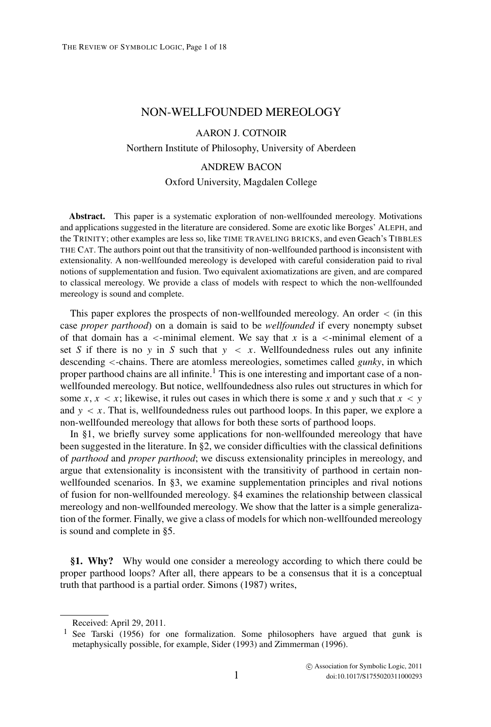## NON-WELLFOUNDED MEREOLOGY

#### AARON J. COTNOIR

Northern Institute of Philosophy, University of Aberdeen

#### ANDREW BACON

#### Oxford University, Magdalen College

**Abstract.** This paper is a systematic exploration of non-wellfounded mereology. Motivations and applications suggested in the literature are considered. Some are exotic like Borges' ALEPH, and the TRINITY; other examples are less so, like TIME TRAVELING BRICKS, and even Geach's TIBBLES THE CAT. The authors point out that the transitivity of non-wellfounded parthood is inconsistent with extensionality. A non-wellfounded mereology is developed with careful consideration paid to rival notions of supplementation and fusion. Two equivalent axiomatizations are given, and are compared to classical mereology. We provide a class of models with respect to which the non-wellfounded mereology is sound and complete.

This paper explores the prospects of non-wellfounded mereology. An order < (in this case *proper parthood*) on a domain is said to be *wellfounded* if every nonempty subset of that domain has a  $\le$ -minimal element. We say that *x* is a  $\le$ -minimal element of a set *S* if there is no *y* in *S* such that  $y \leq x$ . Wellfoundedness rules out any infinite descending <-chains. There are atomless mereologies, sometimes called *gunky*, in which proper parthood chains are all infinite.<sup>1</sup> This is one interesting and important case of a nonwellfounded mereology. But notice, wellfoundedness also rules out structures in which for some  $x, x < x$ ; likewise, it rules out cases in which there is some x and y such that  $x < y$ and  $y \leq x$ . That is, wellfoundedness rules out parthood loops. In this paper, we explore a non-wellfounded mereology that allows for both these sorts of parthood loops.

In §1, we briefly survey some applications for non-wellfounded mereology that have been suggested in the literature. In §2, we consider difficulties with the classical definitions of *parthood* and *proper parthood*; we discuss extensionality principles in mereology, and argue that extensionality is inconsistent with the transitivity of parthood in certain nonwellfounded scenarios. In §3, we examine supplementation principles and rival notions of fusion for non-wellfounded mereology. §4 examines the relationship between classical mereology and non-wellfounded mereology. We show that the latter is a simple generalization of the former. Finally, we give a class of models for which non-wellfounded mereology is sound and complete in §5.

**§1. Why?** Why would one consider a mereology according to which there could be proper parthood loops? After all, there appears to be a consensus that it is a conceptual truth that parthood is a partial order. Simons (1987) writes,

Received: April 29, 2011.

<sup>&</sup>lt;sup>1</sup> See Tarski (1956) for one formalization. Some philosophers have argued that gunk is metaphysically possible, for example, Sider (1993) and Zimmerman (1996).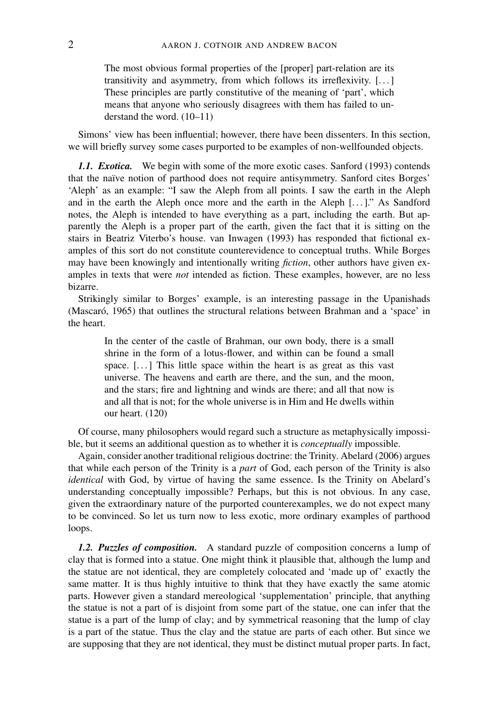The most obvious formal properties of the [proper] part-relation are its transitivity and asymmetry, from which follows its irreflexivity. [. . . ] These principles are partly constitutive of the meaning of 'part', which means that anyone who seriously disagrees with them has failed to understand the word. (10–11)

Simons' view has been influential; however, there have been dissenters. In this section, we will briefly survey some cases purported to be examples of non-wellfounded objects.

*1.1. Exotica.* We begin with some of the more exotic cases. Sanford (1993) contends that the na¨ıve notion of parthood does not require antisymmetry. Sanford cites Borges' 'Aleph' as an example: "I saw the Aleph from all points. I saw the earth in the Aleph and in the earth the Aleph once more and the earth in the Aleph  $[...]$ ." As Sandford notes, the Aleph is intended to have everything as a part, including the earth. But apparently the Aleph is a proper part of the earth, given the fact that it is sitting on the stairs in Beatriz Viterbo's house. van Inwagen (1993) has responded that fictional examples of this sort do not constitute counterevidence to conceptual truths. While Borges may have been knowingly and intentionally writing *fiction*, other authors have given examples in texts that were *not* intended as fiction. These examples, however, are no less bizarre.

Strikingly similar to Borges' example, is an interesting passage in the Upanishads (Mascaró, 1965) that outlines the structural relations between Brahman and a 'space' in the heart.

In the center of the castle of Brahman, our own body, there is a small shrine in the form of a lotus-flower, and within can be found a small space. [...] This little space within the heart is as great as this vast universe. The heavens and earth are there, and the sun, and the moon, and the stars; fire and lightning and winds are there; and all that now is and all that is not; for the whole universe is in Him and He dwells within our heart. (120)

Of course, many philosophers would regard such a structure as metaphysically impossible, but it seems an additional question as to whether it is *conceptually* impossible.

Again, consider another traditional religious doctrine: the Trinity. Abelard (2006) argues that while each person of the Trinity is a *part* of God, each person of the Trinity is also *identical* with God, by virtue of having the same essence. Is the Trinity on Abelard's understanding conceptually impossible? Perhaps, but this is not obvious. In any case, given the extraordinary nature of the purported counterexamples, we do not expect many to be convinced. So let us turn now to less exotic, more ordinary examples of parthood loops.

*1.2. Puzzles of composition.* A standard puzzle of composition concerns a lump of clay that is formed into a statue. One might think it plausible that, although the lump and the statue are not identical, they are completely colocated and 'made up of' exactly the same matter. It is thus highly intuitive to think that they have exactly the same atomic parts. However given a standard mereological 'supplementation' principle, that anything the statue is not a part of is disjoint from some part of the statue, one can infer that the statue is a part of the lump of clay; and by symmetrical reasoning that the lump of clay is a part of the statue. Thus the clay and the statue are parts of each other. But since we are supposing that they are not identical, they must be distinct mutual proper parts. In fact,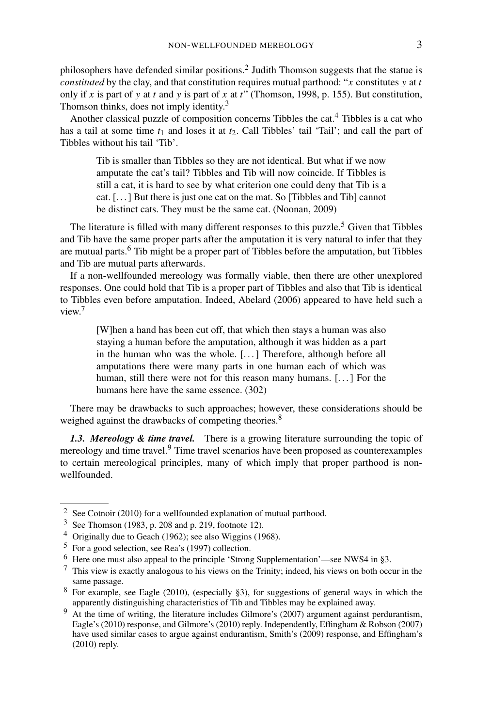philosophers have defended similar positions.<sup>2</sup> Judith Thomson suggests that the statue is *constituted* by the clay, and that constitution requires mutual parthood: "*x* constitutes *y* at *t* only if *x* is part of *y* at *t* and *y* is part of *x* at *t*" (Thomson, 1998, p. 155). But constitution, Thomson thinks, does not imply identity.<sup>3</sup>

Another classical puzzle of composition concerns Tibbles the cat.<sup>4</sup> Tibbles is a cat who has a tail at some time  $t_1$  and loses it at  $t_2$ . Call Tibbles' tail 'Tail'; and call the part of Tibbles without his tail 'Tib'.

Tib is smaller than Tibbles so they are not identical. But what if we now amputate the cat's tail? Tibbles and Tib will now coincide. If Tibbles is still a cat, it is hard to see by what criterion one could deny that Tib is a cat. [. . . ] But there is just one cat on the mat. So [Tibbles and Tib] cannot be distinct cats. They must be the same cat. (Noonan, 2009)

The literature is filled with many different responses to this puzzle.<sup>5</sup> Given that Tibbles and Tib have the same proper parts after the amputation it is very natural to infer that they are mutual parts.<sup>6</sup> Tib might be a proper part of Tibbles before the amputation, but Tibbles and Tib are mutual parts afterwards.

If a non-wellfounded mereology was formally viable, then there are other unexplored responses. One could hold that Tib is a proper part of Tibbles and also that Tib is identical to Tibbles even before amputation. Indeed, Abelard (2006) appeared to have held such a view.7

[W]hen a hand has been cut off, that which then stays a human was also staying a human before the amputation, although it was hidden as a part in the human who was the whole. [. . . ] Therefore, although before all amputations there were many parts in one human each of which was human, still there were not for this reason many humans. [...] For the humans here have the same essence. (302)

There may be drawbacks to such approaches; however, these considerations should be weighed against the drawbacks of competing theories.<sup>8</sup>

*1.3. Mereology & time travel.* There is a growing literature surrounding the topic of mereology and time travel.<sup>9</sup> Time travel scenarios have been proposed as counterexamples to certain mereological principles, many of which imply that proper parthood is nonwellfounded.

<sup>2</sup> See Cotnoir (2010) for a wellfounded explanation of mutual parthood.

<sup>3</sup> See Thomson (1983, p. 208 and p. 219, footnote 12).

<sup>4</sup> Originally due to Geach (1962); see also Wiggins (1968).

<sup>5</sup> For a good selection, see Rea's (1997) collection.

<sup>6</sup> Here one must also appeal to the principle 'Strong Supplementation'—see NWS4 in §3.

 $<sup>7</sup>$  This view is exactly analogous to his views on the Trinity; indeed, his views on both occur in the</sup> same passage.

<sup>8</sup> For example, see Eagle (2010), (especially §3), for suggestions of general ways in which the apparently distinguishing characteristics of Tib and Tibbles may be explained away.

 $9 \text{ At the time of writing, the literature includes Gilmore's (2007) argument against perdurantism, }$ Eagle's (2010) response, and Gilmore's (2010) reply. Independently, Effingham & Robson (2007) have used similar cases to argue against endurantism, Smith's (2009) response, and Effingham's (2010) reply.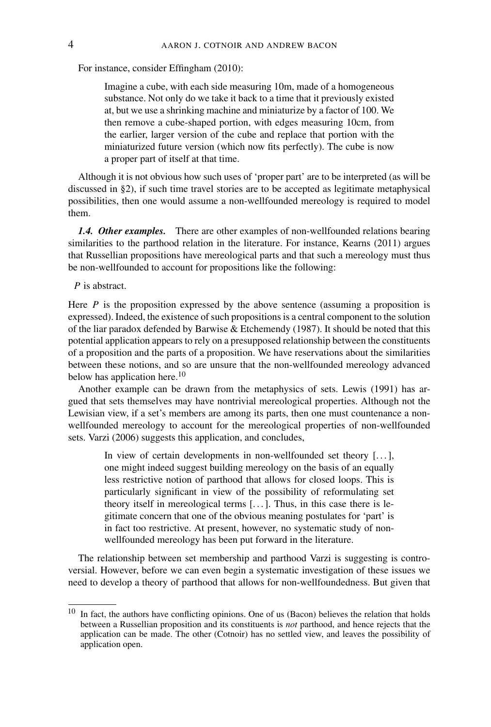For instance, consider Effingham (2010):

Imagine a cube, with each side measuring 10m, made of a homogeneous substance. Not only do we take it back to a time that it previously existed at, but we use a shrinking machine and miniaturize by a factor of 100. We then remove a cube-shaped portion, with edges measuring 10cm, from the earlier, larger version of the cube and replace that portion with the miniaturized future version (which now fits perfectly). The cube is now a proper part of itself at that time.

Although it is not obvious how such uses of 'proper part' are to be interpreted (as will be discussed in §2), if such time travel stories are to be accepted as legitimate metaphysical possibilities, then one would assume a non-wellfounded mereology is required to model them.

*1.4. Other examples.* There are other examples of non-wellfounded relations bearing similarities to the parthood relation in the literature. For instance, Kearns (2011) argues that Russellian propositions have mereological parts and that such a mereology must thus be non-wellfounded to account for propositions like the following:

### *P* is abstract.

Here  *is the proposition expressed by the above sentence (assuming a proposition is* expressed). Indeed, the existence of such propositions is a central component to the solution of the liar paradox defended by Barwise & Etchemendy (1987). It should be noted that this potential application appears to rely on a presupposed relationship between the constituents of a proposition and the parts of a proposition. We have reservations about the similarities between these notions, and so are unsure that the non-wellfounded mereology advanced below has application here.<sup>10</sup>

Another example can be drawn from the metaphysics of sets. Lewis (1991) has argued that sets themselves may have nontrivial mereological properties. Although not the Lewisian view, if a set's members are among its parts, then one must countenance a nonwellfounded mereology to account for the mereological properties of non-wellfounded sets. Varzi (2006) suggests this application, and concludes,

> In view of certain developments in non-wellfounded set theory [. . . ], one might indeed suggest building mereology on the basis of an equally less restrictive notion of parthood that allows for closed loops. This is particularly significant in view of the possibility of reformulating set theory itself in mereological terms [. . . ]. Thus, in this case there is legitimate concern that one of the obvious meaning postulates for 'part' is in fact too restrictive. At present, however, no systematic study of nonwellfounded mereology has been put forward in the literature.

The relationship between set membership and parthood Varzi is suggesting is controversial. However, before we can even begin a systematic investigation of these issues we need to develop a theory of parthood that allows for non-wellfoundedness. But given that

<sup>&</sup>lt;sup>10</sup> In fact, the authors have conflicting opinions. One of us (Bacon) believes the relation that holds between a Russellian proposition and its constituents is *not* parthood, and hence rejects that the application can be made. The other (Cotnoir) has no settled view, and leaves the possibility of application open.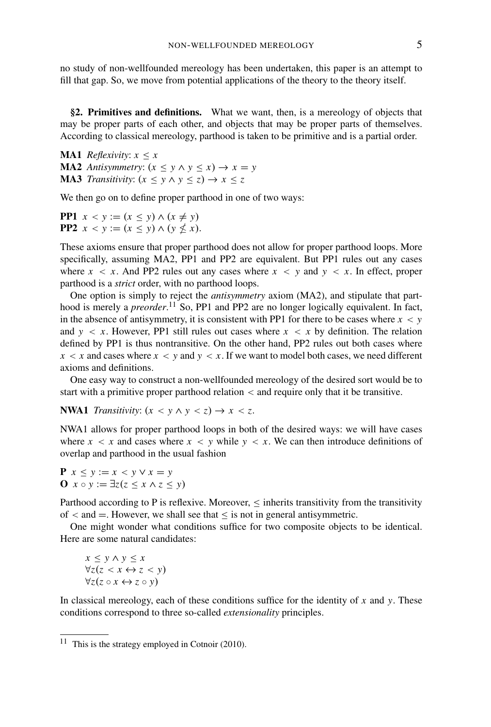no study of non-wellfounded mereology has been undertaken, this paper is an attempt to fill that gap. So, we move from potential applications of the theory to the theory itself.

**§2. Primitives and definitions.** What we want, then, is a mereology of objects that may be proper parts of each other, and objects that may be proper parts of themselves. According to classical mereology, parthood is taken to be primitive and is a partial order.

**MA1** *Reflexivity:*  $x < x$ **MA2** *Antisymmetry:*  $(x \leq y \land y \leq x) \rightarrow x = y$ **MA3** *Transitivity:*  $(x \leq y \land y \leq z) \rightarrow x \leq z$ 

We then go on to define proper parthood in one of two ways:

**PP1**  $x < y := (x \le y) \land (x \ne y)$ **PP2**  $x < y := (x \le y) \land (y \nle x)$ .

These axioms ensure that proper parthood does not allow for proper parthood loops. More specifically, assuming MA2, PP1 and PP2 are equivalent. But PP1 rules out any cases where  $x < x$ . And PP2 rules out any cases where  $x < y$  and  $y < x$ . In effect, proper parthood is a *strict* order, with no parthood loops.

One option is simply to reject the *antisymmetry* axiom (MA2), and stipulate that parthood is merely a *preorder*.<sup>11</sup> So, PP1 and PP2 are no longer logically equivalent. In fact, in the absence of antisymmetry, it is consistent with PP1 for there to be cases where  $x < y$ and  $y < x$ . However, PP1 still rules out cases where  $x < x$  by definition. The relation defined by PP1 is thus nontransitive. On the other hand, PP2 rules out both cases where  $x < x$  and cases where  $x < y$  and  $y < x$ . If we want to model both cases, we need different axioms and definitions.

One easy way to construct a non-wellfounded mereology of the desired sort would be to start with a primitive proper parthood relation < and require only that it be transitive.

**NWA1** *Transitivity:*  $(x < y \land y < z) \rightarrow x < z$ .

NWA1 allows for proper parthood loops in both of the desired ways: we will have cases where  $x < x$  and cases where  $x < y$  while  $y < x$ . We can then introduce definitions of overlap and parthood in the usual fashion

**P** *x* ≤ *y* := *x* < *y* ∨ *x* = *y* **O** *x* ◦ *y* := ∃*z*(*z* ≤ *x* ∧ *z* ≤ *y*)

Parthood according to P is reflexive. Moreover,  $\leq$  inherits transitivity from the transitivity of  $\lt$  and  $=$ . However, we shall see that  $\leq$  is not in general antisymmetric.

One might wonder what conditions suffice for two composite objects to be identical. Here are some natural candidates:

*x* ≤ *y* ∧ *y* ≤ *x* ∀*z*(*z* < *x* ↔ *z* < *y*)  $∀z(z \circ x \leftrightarrow z \circ y)$ 

In classical mereology, each of these conditions suffice for the identity of *x* and *y*. These conditions correspond to three so-called *extensionality* principles.

<sup>&</sup>lt;sup>11</sup> This is the strategy employed in Cotnoir (2010).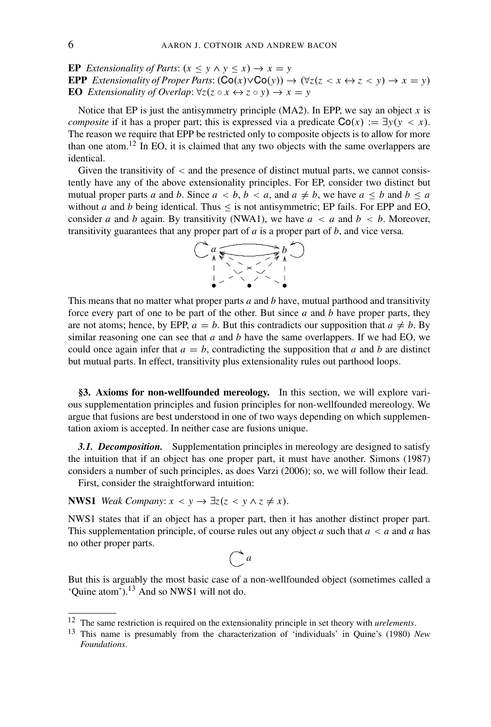**EP** *Extensionality of Parts:*  $(x \le y \land y \le x) \rightarrow x = y$ **EPP** *Extensionality of Proper Parts*:  $(Co(x) \vee Co(y)) \rightarrow (\forall z(z \leq x \leftrightarrow z \leq y) \rightarrow x = y)$ **EO** *Extensionality of Overlap*:  $\forall z (z \circ x \leftrightarrow z \circ y) \rightarrow x = y$ 

Notice that EP is just the antisymmetry principle  $(MA2)$ . In EPP, we say an object *x* is *composite* if it has a proper part; this is expressed via a predicate  $Co(x) := \exists y (y < x)$ . The reason we require that EPP be restricted only to composite objects is to allow for more than one atom.<sup>12</sup> In EO, it is claimed that any two objects with the same overlappers are identical.

Given the transitivity of  $\lt$  and the presence of distinct mutual parts, we cannot consistently have any of the above extensionality principles. For EP, consider two distinct but mutual proper parts *a* and *b*. Since  $a < b, b < a$ , and  $a \neq b$ , we have  $a \leq b$  and  $b \leq a$ without *a* and *b* being identical. Thus  $\leq$  is not antisymmetric; EP fails. For EPP and EO, consider *a* and *b* again. By transitivity (NWA1), we have  $a < a$  and  $b < b$ . Moreover, transitivity guarantees that any proper part of *a* is a proper part of *b*, and vice versa.



This means that no matter what proper parts *a* and *b* have, mutual parthood and transitivity force every part of one to be part of the other. But since *a* and *b* have proper parts, they are not atoms; hence, by EPP,  $a = b$ . But this contradicts our supposition that  $a \neq b$ . By similar reasoning one can see that  $a$  and  $b$  have the same overlappers. If we had EO, we could once again infer that  $a = b$ , contradicting the supposition that *a* and *b* are distinct but mutual parts. In effect, transitivity plus extensionality rules out parthood loops.

**§3. Axioms for non-wellfounded mereology.** In this section, we will explore various supplementation principles and fusion principles for non-wellfounded mereology. We argue that fusions are best understood in one of two ways depending on which supplementation axiom is accepted. In neither case are fusions unique.

**3.1. Decomposition.** Supplementation principles in mereology are designed to satisfy the intuition that if an object has one proper part, it must have another. Simons (1987) considers a number of such principles, as does Varzi (2006); so, we will follow their lead.

First, consider the straightforward intuition:

**NWS1** *Weak Company:*  $x < y \rightarrow \exists z (z < y \land z \neq x)$ .

NWS1 states that if an object has a proper part, then it has another distinct proper part. This supplementation principle, of course rules out any object *a* such that *a* < *a* and *a* has no other proper parts.

# $\bigcap a$

But this is arguably the most basic case of a non-wellfounded object (sometimes called a 'Quine atom').<sup>13</sup> And so NWS1 will not do.

<sup>12</sup> The same restriction is required on the extensionality principle in set theory with *urelements*.

<sup>13</sup> This name is presumably from the characterization of 'individuals' in Quine's (1980) *New Foundations*.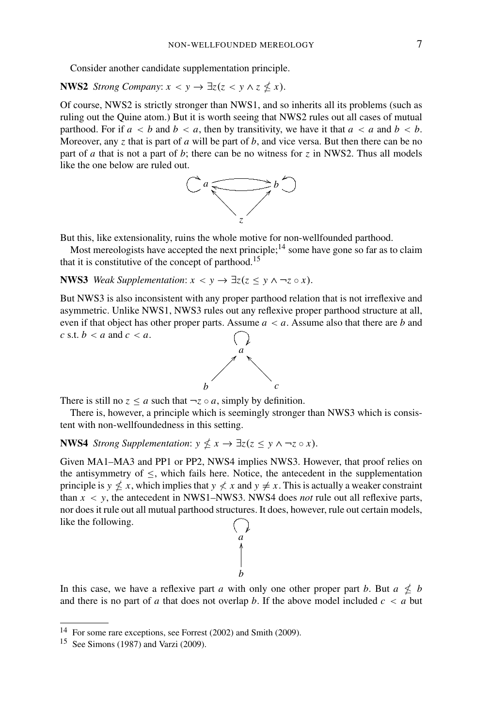Consider another candidate supplementation principle.

**NWS2** *Strong Company:*  $x < y \rightarrow \exists z (z < y \land z \nleq x)$ .

Of course, NWS2 is strictly stronger than NWS1, and so inherits all its problems (such as ruling out the Quine atom.) But it is worth seeing that NWS2 rules out all cases of mutual parthood. For if  $a < b$  and  $b < a$ , then by transitivity, we have it that  $a < a$  and  $b < b$ . Moreover, any *z* that is part of *a* will be part of *b*, and vice versa. But then there can be no part of *a* that is not a part of *b*; there can be no witness for *z* in NWS2. Thus all models like the one below are ruled out.



But this, like extensionality, ruins the whole motive for non-wellfounded parthood.

Most mereologists have accepted the next principle;<sup>14</sup> some have gone so far as to claim that it is constitutive of the concept of parthood.<sup>15</sup>

**NWS3** *Weak Supplementation:*  $x < y \rightarrow \exists z (z \leq y \land \neg z \circ x)$ .

But NWS3 is also inconsistent with any proper parthood relation that is not irreflexive and asymmetric. Unlike NWS1, NWS3 rules out any reflexive proper parthood structure at all, even if that object has other proper parts. Assume  $a < a$ . Assume also that there are *b* and *c* s.t.  $b < a$  and  $c < a$ .



There is still no  $z \le a$  such that  $\neg z \circ a$ , simply by definition.

There is, however, a principle which is seemingly stronger than NWS3 which is consistent with non-wellfoundedness in this setting.

**NWS4** *Strong Supplementation:*  $y \nleq x \rightarrow \exists z (z \leq y \land \neg z \circ x)$ .

Given MA1–MA3 and PP1 or PP2, NWS4 implies NWS3. However, that proof relies on the antisymmetry of  $\leq$ , which fails here. Notice, the antecedent in the supplementation principle is  $y \nleq x$ , which implies that  $y \nleq x$  and  $y \neq x$ . This is actually a weaker constraint than *x* < *y*, the antecedent in NWS1–NWS3. NWS4 does *not* rule out all reflexive parts, nor does it rule out all mutual parthood structures. It does, however, rule out certain models, like the following.  $\begin{pmatrix} a' \\ a' \end{pmatrix}$ 



*b*

<sup>14</sup> For some rare exceptions, see Forrest (2002) and Smith (2009).

 $15$  See Simons (1987) and Varzi (2009).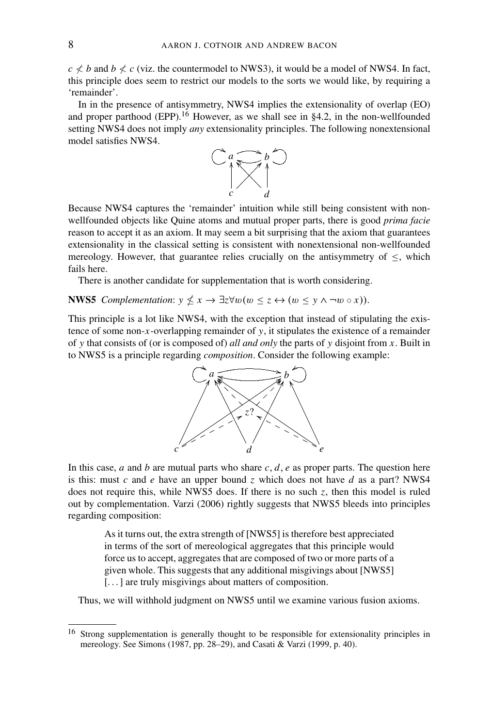$c \nless b$  and  $b \nless c$  (viz. the countermodel to NWS3), it would be a model of NWS4. In fact, this principle does seem to restrict our models to the sorts we would like, by requiring a 'remainder'.

In in the presence of antisymmetry, NWS4 implies the extensionality of overlap (EO) and proper parthood (EPP).<sup>16</sup> However, as we shall see in §4.2, in the non-wellfounded setting NWS4 does not imply *any* extensionality principles. The following nonextensional model satisfies NWS4.



Because NWS4 captures the 'remainder' intuition while still being consistent with nonwellfounded objects like Quine atoms and mutual proper parts, there is good *prima facie* reason to accept it as an axiom. It may seem a bit surprising that the axiom that guarantees extensionality in the classical setting is consistent with nonextensional non-wellfounded mereology. However, that guarantee relies crucially on the antisymmetry of  $\leq$ , which fails here.

There is another candidate for supplementation that is worth considering.

**NWS5** *Complementation*:  $y \nleq x \rightarrow \exists z \forall w (w \leq z \leftrightarrow (w \leq y \land \neg w \circ x))$ .

This principle is a lot like NWS4, with the exception that instead of stipulating the existence of some non-*x*-overlapping remainder of *y*, it stipulates the existence of a remainder of *y* that consists of (or is composed of) *all and only* the parts of *y* disjoint from *x*. Built in to NWS5 is a principle regarding *composition*. Consider the following example:



In this case, *a* and *b* are mutual parts who share *c*, *d*, *e* as proper parts. The question here is this: must *c* and *e* have an upper bound *z* which does not have *d* as a part? NWS4 does not require this, while NWS5 does. If there is no such *z*, then this model is ruled out by complementation. Varzi (2006) rightly suggests that NWS5 bleeds into principles regarding composition:

> As it turns out, the extra strength of [NWS5] is therefore best appreciated in terms of the sort of mereological aggregates that this principle would force us to accept, aggregates that are composed of two or more parts of a given whole. This suggests that any additional misgivings about [NWS5] [...] are truly misgivings about matters of composition.

Thus, we will withhold judgment on NWS5 until we examine various fusion axioms.

<sup>16</sup> Strong supplementation is generally thought to be responsible for extensionality principles in mereology. See Simons (1987, pp. 28–29), and Casati & Varzi (1999, p. 40).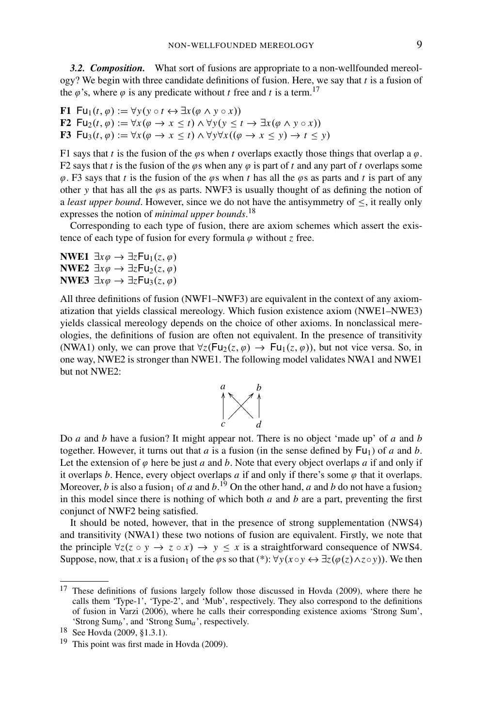*3.2. Composition.* What sort of fusions are appropriate to a non-wellfounded mereology? We begin with three candidate definitions of fusion. Here, we say that *t* is a fusion of the  $\varphi$ 's, where  $\varphi$  is any predicate without *t* free and *t* is a term.<sup>17</sup>

**F1** Fu<sub>1</sub>(*t*,  $\varphi$ ) :=  $\forall y (y \circ t \leftrightarrow \exists x (\varphi \land y \circ x))$ **F2**  $\textsf{Fu}_2(t, \varphi) := \forall x (\varphi \to x \leq t) \land \forall y (y \leq t \to \exists x (\varphi \land y \circ x))$ **F3** Fu<sub>3</sub>(*t*,  $\varphi$ ) :=  $\forall x (\varphi \rightarrow x \le t) \land \forall y \forall x ((\varphi \rightarrow x \le y) \rightarrow t \le y)$ 

F1 says that *t* is the fusion of the  $\varphi$ s when *t* overlaps exactly those things that overlap a  $\varphi$ . F2 says that *t* is the fusion of the  $\varphi$ s when any  $\varphi$  is part of *t* and any part of *t* overlaps some  $\varphi$ . F3 says that *t* is the fusion of the  $\varphi$ s when *t* has all the  $\varphi$ s as parts and *t* is part of any other *y* that has all the  $\varphi$ s as parts. NWF3 is usually thought of as defining the notion of a *least upper bound*. However, since we do not have the antisymmetry of ≤, it really only expresses the notion of *minimal upper bounds*. 18

Corresponding to each type of fusion, there are axiom schemes which assert the existence of each type of fusion for every formula  $\varphi$  without *z* free.

**NWE1**  $\exists x \varphi \rightarrow \exists z \mathsf{Fu}_1(z, \varphi)$ **NWE2**  $\exists x \varphi \rightarrow \exists z \mathsf{Fu}_2(z, \varphi)$ **NWE3**  $\exists x \varphi \rightarrow \exists z \mathsf{Fu}_3(z, \varphi)$ 

All three definitions of fusion (NWF1–NWF3) are equivalent in the context of any axiomatization that yields classical mereology. Which fusion existence axiom (NWE1–NWE3) yields classical mereology depends on the choice of other axioms. In nonclassical mereologies, the definitions of fusion are often not equivalent. In the presence of transitivity (NWA1) only, we can prove that  $\forall z (Fu_2(z, \varphi) \rightarrow Fu_1(z, \varphi))$ , but not vice versa. So, in one way, NWE2 is stronger than NWE1. The following model validates NWA1 and NWE1 but not NWE2:



Do *a* and *b* have a fusion? It might appear not. There is no object 'made up' of *a* and *b* together. However, it turns out that *a* is a fusion (in the sense defined by  $Fu_1$ ) of *a* and *b*. Let the extension of  $\varphi$  here be just  $a$  and  $b$ . Note that every object overlaps  $a$  if and only if it overlaps *b*. Hence, every object overlaps  $a$  if and only if there's some  $\varphi$  that it overlaps. Moreover, *b* is also a fusion<sub>1</sub> of *a* and *b*.<sup>19</sup> On the other hand, *a* and *b* do not have a fusion<sub>2</sub> in this model since there is nothing of which both *a* and *b* are a part, preventing the first conjunct of NWF2 being satisfied.

It should be noted, however, that in the presence of strong supplementation (NWS4) and transitivity (NWA1) these two notions of fusion are equivalent. Firstly, we note that the principle  $\forall z(z \circ y \to z \circ x) \to y \leq x$  is a straightforward consequence of NWS4. Suppose, now, that *x* is a fusion<sub>1</sub> of the  $\varphi$ s so that (\*):  $\forall y(x \circ y \leftrightarrow \exists z(\varphi(z) \land z \circ y))$ . We then

<sup>&</sup>lt;sup>17</sup> These definitions of fusions largely follow those discussed in Hovda (2009), where there he calls them 'Type-1', 'Type-2', and 'Mub', respectively. They also correspond to the definitions of fusion in Varzi (2006), where he calls their corresponding existence axioms 'Strong Sum', 'Strong Sum*b*', and 'Strong Sum*a*', respectively.

<sup>18</sup> See Hovda (2009, §1.3.1).

<sup>&</sup>lt;sup>19</sup> This point was first made in Hovda  $(2009)$ .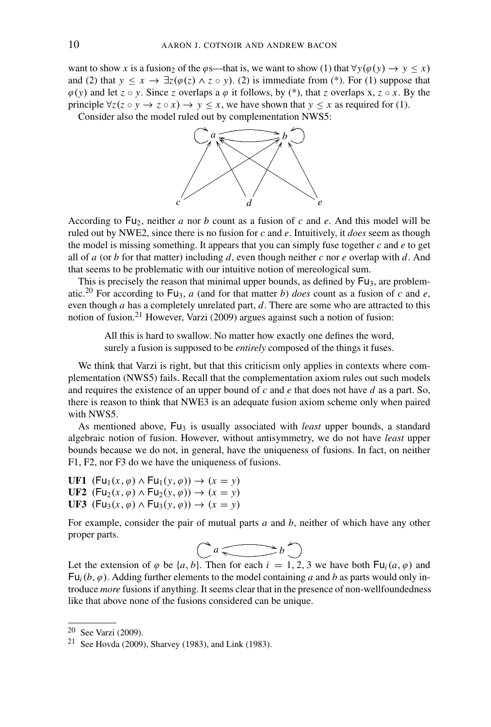want to show *x* is a fusion<sub>2</sub> of the  $\varphi$ s—that is, we want to show (1) that  $\forall y(\varphi(y) \rightarrow y \leq x)$ and (2) that  $y \le x \to \exists z (\varphi(z) \land z \circ y)$ . (2) is immediate from (\*). For (1) suppose that  $\varphi(y)$  and let  $z \circ y$ . Since *z* overlaps a  $\varphi$  it follows, by (\*), that *z* overlaps x,  $z \circ x$ . By the principle  $\forall z(z \circ y \to z \circ x) \to y \leq x$ , we have shown that  $y \leq x$  as required for (1).

Consider also the model ruled out by complementation NWS5:



According to Fu2, neither *a* nor *b* count as a fusion of *c* and *e*. And this model will be ruled out by NWE2, since there is no fusion for *c* and *e*. Intuitively, it *does* seem as though the model is missing something. It appears that you can simply fuse together  $c$  and  $e$  to get all of *a* (or *b* for that matter) including *d*, even though neither *c* nor *e* overlap with *d*. And that seems to be problematic with our intuitive notion of mereological sum.

This is precisely the reason that minimal upper bounds, as defined by  $Fu_3$ , are problematic.<sup>20</sup> For according to  $Fu_3$ , *a* (and for that matter *b*) *does* count as a fusion of *c* and *e*, even though *a* has a completely unrelated part, *d*. There are some who are attracted to this notion of fusion.21 However, Varzi (2009) argues against such a notion of fusion:

All this is hard to swallow. No matter how exactly one defines the word, surely a fusion is supposed to be *entirely* composed of the things it fuses.

We think that Varzi is right, but that this criticism only applies in contexts where complementation (NWS5) fails. Recall that the complementation axiom rules out such models and requires the existence of an upper bound of *c* and *e* that does not have *d* as a part. So, there is reason to think that NWE3 is an adequate fusion axiom scheme only when paired with NWS5.

As mentioned above, Fu<sub>3</sub> is usually associated with *least* upper bounds, a standard algebraic notion of fusion. However, without antisymmetry, we do not have *least* upper bounds because we do not, in general, have the uniqueness of fusions. In fact, on neither F1, F2, nor F3 do we have the uniqueness of fusions.

**UF1** (Fu<sub>1</sub>(*x*,  $\varphi$ )  $\land$  Fu<sub>1</sub>(*y*,  $\varphi$ ))  $\rightarrow$  (*x* = *y*) UF2 (Fu<sub>2</sub>(*x*,  $\varphi$ )  $\land$  Fu<sub>2</sub>(*y*,  $\varphi$ ))  $\rightarrow$  (*x* = *y*) **UF3** (Fu<sub>3</sub>(*x*,  $\varphi$ )  $\land$  Fu<sub>3</sub>(*y*,  $\varphi$ ))  $\rightarrow$  (*x* = *y*)

For example, consider the pair of mutual parts *a* and *b*, neither of which have any other proper parts.

 $Ca \longrightarrow b$ 

Let the extension of  $\varphi$  be  $\{a, b\}$ . Then for each  $i = 1, 2, 3$  we have both  $\text{Fu}_i(a, \varphi)$  and  $Fu_i(b, \varphi)$ . Adding further elements to the model containing *a* and *b* as parts would only introduce *more* fusions if anything. It seems clear that in the presence of non-wellfoundedness like that above none of the fusions considered can be unique.

<sup>20</sup> See Varzi (2009).

<sup>21</sup> See Hovda (2009), Sharvey (1983), and Link (1983).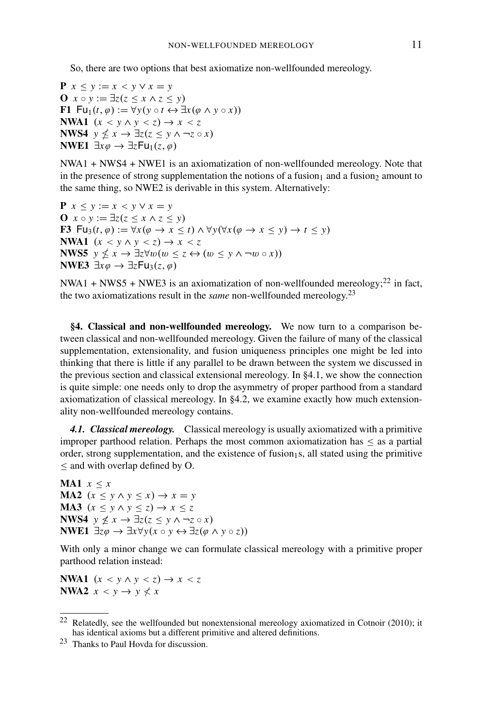So, there are two options that best axiomatize non-wellfounded mereology.

**P**  $x \le y := x \le y \vee x = y$ **O** *x* ◦ *y* := ∃*z*(*z* ≤ *x* ∧ *z* ≤ *y*) **F1** Fu<sub>1</sub>(*t*,  $\varphi$ ) :=  $\forall y (y \circ t \leftrightarrow \exists x (\varphi \land y \circ x))$ **NWA1**  $(x < y \land y < z) \rightarrow x < z$ **NWS4**  $y \nleq x \rightarrow \exists z (z \leq y \land \neg z \circ x)$ **NWE1**  $\exists x \varphi \rightarrow \exists z \mathsf{Fu}_1(z, \varphi)$ 

NWA1 + NWS4 + NWE1 is an axiomatization of non-wellfounded mereology. Note that in the presence of strong supplementation the notions of a fusion<sub>1</sub> and a fusion<sub>2</sub> amount to the same thing, so NWE2 is derivable in this system. Alternatively:

**P**  $x \le y := x \le y \vee x = y$ **O** *x* ◦ *y* := ∃*z*(*z* ≤ *x* ∧ *z* ≤ *y*) **F3** Fu<sub>3</sub>(*t*,  $\varphi$ ) := ∀*x*( $\varphi$  → *x* ≤ *t*) ∧ ∀*y*(∀*x*( $\varphi$  → *x* ≤ *y*) → *t* ≤ *y*) **NWA1**  $(x < y \land y < z) \rightarrow x < z$ **NWS5**  $y \nleq x \rightarrow \exists z \forall w (w \leq z \leftrightarrow (w \leq y \land \neg w \circ x))$ **NWE3**  $\exists x \varphi \rightarrow \exists z \mathsf{Fu}_3(z, \varphi)$ 

NWA1 + NWS5 + NWE3 is an axiomatization of non-wellfounded mereology;<sup>22</sup> in fact, the two axiomatizations result in the *same* non-wellfounded mereology.<sup>23</sup>

**§4. Classical and non-wellfounded mereology.** We now turn to a comparison between classical and non-wellfounded mereology. Given the failure of many of the classical supplementation, extensionality, and fusion uniqueness principles one might be led into thinking that there is little if any parallel to be drawn between the system we discussed in the previous section and classical extensional mereology. In §4.1, we show the connection is quite simple: one needs only to drop the asymmetry of proper parthood from a standard axiomatization of classical mereology. In §4.2, we examine exactly how much extensionality non-wellfounded mereology contains.

*4.1. Classical mereology.* Classical mereology is usually axiomatized with a primitive improper parthood relation. Perhaps the most common axiomatization has ≤ as a partial order, strong supplementation, and the existence of fusion<sub>1</sub>s, all stated using the primitive ≤ and with overlap defined by O.

**MA1**  $x < x$ **MA2**  $(x \leq y \land y \leq x) \rightarrow x = y$ **MA3**  $(x \leq y \land y \leq z) \rightarrow x \leq z$ **NWS4**  $y \nleq x \rightarrow \exists z (z \leq y \land \neg z \circ x)$ **NWE1**  $\exists z \varphi \rightarrow \exists x \forall y (x \circ y \leftrightarrow \exists z (\varphi \land y \circ z))$ 

With only a minor change we can formulate classical mereology with a primitive proper parthood relation instead:

**NWA1**  $(x < y \land y < z) \rightarrow x < z$ **NWA2**  $x < y \rightarrow y \nless x$ 

<sup>22</sup> Relatedly, see the wellfounded but nonextensional mereology axiomatized in Cotnoir (2010); it has identical axioms but a different primitive and altered definitions.

<sup>23</sup> Thanks to Paul Hovda for discussion.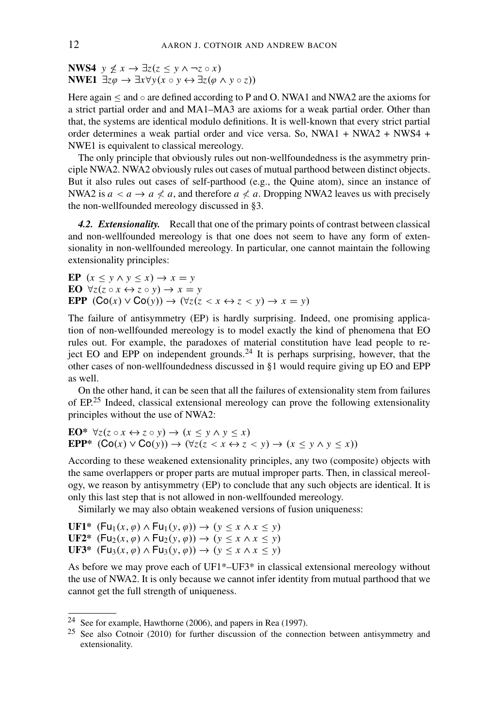**NWS4**  $y \nleq x \rightarrow \exists z (z \leq y \land \neg z \circ x)$ **NWE1**  $\exists z \varphi \rightarrow \exists x \forall y (x \circ y \leftrightarrow \exists z (\varphi \land y \circ z))$ 

Here again  $\leq$  and  $\circ$  are defined according to P and O. NWA1 and NWA2 are the axioms for a strict partial order and and MA1–MA3 are axioms for a weak partial order. Other than that, the systems are identical modulo definitions. It is well-known that every strict partial order determines a weak partial order and vice versa. So, NWA1 + NWA2 + NWS4 + NWE1 is equivalent to classical mereology.

The only principle that obviously rules out non-wellfoundedness is the asymmetry principle NWA2. NWA2 obviously rules out cases of mutual parthood between distinct objects. But it also rules out cases of self-parthood (e.g., the Quine atom), since an instance of NWA2 is  $a < a \rightarrow a \nless a$ , and therefore  $a \nless a$ . Dropping NWA2 leaves us with precisely the non-wellfounded mereology discussed in §3.

*4.2. Extensionality.* Recall that one of the primary points of contrast between classical and non-wellfounded mereology is that one does not seem to have any form of extensionality in non-wellfounded mereology. In particular, one cannot maintain the following extensionality principles:

**EP**  $(x < y \land y < x) \rightarrow x = y$ **EO**  $\forall z (z \circ x \leftrightarrow z \circ y) \rightarrow x = y$ **EPP**  $(Co(x) \vee Co(y)) \rightarrow (\forall z(z < x \leftrightarrow z < y) \rightarrow x = y)$ 

The failure of antisymmetry (EP) is hardly surprising. Indeed, one promising application of non-wellfounded mereology is to model exactly the kind of phenomena that EO rules out. For example, the paradoxes of material constitution have lead people to reject EO and EPP on independent grounds.<sup>24</sup> It is perhaps surprising, however, that the other cases of non-wellfoundedness discussed in §1 would require giving up EO and EPP as well.

On the other hand, it can be seen that all the failures of extensionality stem from failures of EP.<sup>25</sup> Indeed, classical extensional mereology can prove the following extensionality principles without the use of NWA2:

EO\*  $\forall z (z \circ x \leftrightarrow z \circ y) \rightarrow (x \leq y \land y \leq x)$ **EPP\***  $(Co(x) \vee Co(y)) \rightarrow (\forall z(z < x \leftrightarrow z < y) \rightarrow (x \leq y \land y \leq x))$ 

According to these weakened extensionality principles, any two (composite) objects with the same overlappers or proper parts are mutual improper parts. Then, in classical mereology, we reason by antisymmetry (EP) to conclude that any such objects are identical. It is only this last step that is not allowed in non-wellfounded mereology.

Similarly we may also obtain weakened versions of fusion uniqueness:

 $UF1*$   $(Fu_1(x, \varphi) \wedge Fu_1(y, \varphi)) \rightarrow (y \leq x \wedge x \leq y)$  $\mathbf{U} \mathbf{F2}^*$  (Fu<sub>2</sub>(*x*,  $\varphi$ )  $\wedge$  Fu<sub>2</sub>(*y*,  $\varphi$ ))  $\rightarrow$  (*y*  $\leq$  *x*  $\wedge$  *x*  $\leq$  *y*) **UF3\***  $(Fu_3(x, \varphi) \wedge Fu_3(y, \varphi)) \rightarrow (y \leq x \wedge x \leq y)$ 

As before we may prove each of UF1\*–UF3\* in classical extensional mereology without the use of NWA2. It is only because we cannot infer identity from mutual parthood that we cannot get the full strength of uniqueness.

<sup>24</sup> See for example, Hawthorne (2006), and papers in Rea (1997).

<sup>25</sup> See also Cotnoir (2010) for further discussion of the connection between antisymmetry and extensionality.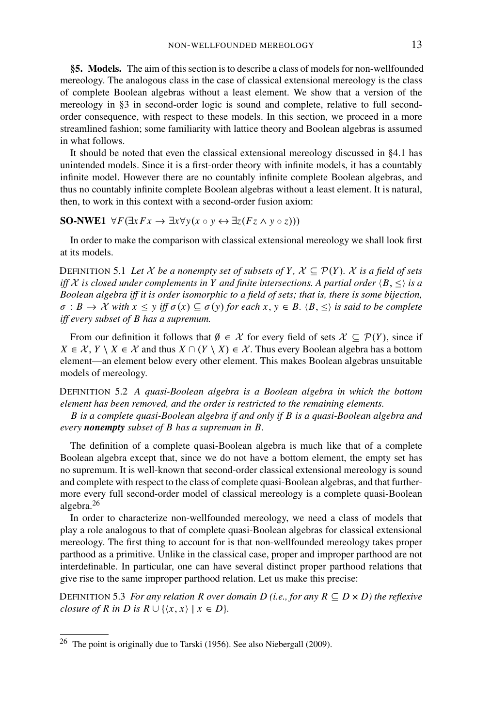**§5. Models.** The aim of this section is to describe a class of models for non-wellfounded mereology. The analogous class in the case of classical extensional mereology is the class of complete Boolean algebras without a least element. We show that a version of the mereology in §3 in second-order logic is sound and complete, relative to full secondorder consequence, with respect to these models. In this section, we proceed in a more streamlined fashion; some familiarity with lattice theory and Boolean algebras is assumed in what follows.

It should be noted that even the classical extensional mereology discussed in §4.1 has unintended models. Since it is a first-order theory with infinite models, it has a countably infinite model. However there are no countably infinite complete Boolean algebras, and thus no countably infinite complete Boolean algebras without a least element. It is natural, then, to work in this context with a second-order fusion axiom:

**SO-NWE1** ∀ $F(\exists x Fx \rightarrow \exists x \forall y (x \circ y \leftrightarrow \exists z (Fz \land y \circ z)))$ 

In order to make the comparison with classical extensional mereology we shall look first at its models.

DEFINITION 5.1 Let  $X$  be a nonempty set of subsets of Y,  $X \subseteq \mathcal{P}(Y)$ . X is a field of sets *iff* X is closed under complements in Y and finite intersections. A partial order  $\langle B, \leq \rangle$  *is a Boolean algebra iff it is order isomorphic to a field of sets; that is, there is some bijection,*  $\sigma : B \to \mathcal{X}$  *with*  $x \leq y$  *iff*  $\sigma(x) \subseteq \sigma(y)$  *for each*  $x, y \in B$ .  $\langle B, \leq \rangle$  *is said to be complete iff every subset of B has a supremum.*

From our definition it follows that  $\emptyset \in \mathcal{X}$  for every field of sets  $\mathcal{X} \subseteq \mathcal{P}(Y)$ , since if *X* ∈  $X$ , *Y*  $\setminus$  *X* ∈  $X$  and thus  $X \cap (Y \setminus X) \in \mathcal{X}$ . Thus every Boolean algebra has a bottom element—an element below every other element. This makes Boolean algebras unsuitable models of mereology.

DEFINITION 5.2 *A quasi-Boolean algebra is a Boolean algebra in which the bottom element has been removed, and the order is restricted to the remaining elements.*

*B is a complete quasi-Boolean algebra if and only if B is a quasi-Boolean algebra and every nonempty subset of B has a supremum in B.*

The definition of a complete quasi-Boolean algebra is much like that of a complete Boolean algebra except that, since we do not have a bottom element, the empty set has no supremum. It is well-known that second-order classical extensional mereology is sound and complete with respect to the class of complete quasi-Boolean algebras, and that furthermore every full second-order model of classical mereology is a complete quasi-Boolean algebra.<sup>26</sup>

In order to characterize non-wellfounded mereology, we need a class of models that play a role analogous to that of complete quasi-Boolean algebras for classical extensional mereology. The first thing to account for is that non-wellfounded mereology takes proper parthood as a primitive. Unlike in the classical case, proper and improper parthood are not interdefinable. In particular, one can have several distinct proper parthood relations that give rise to the same improper parthood relation. Let us make this precise:

DEFINITION 5.3 *For any relation R over domain D (i.e., for any*  $R \subseteq D \times D$ *) the reflexive closure of R in D is R*  $\cup$  { $\langle x, x \rangle$  |  $x \in D$ }*.* 

<sup>26</sup> The point is originally due to Tarski (1956). See also Niebergall (2009).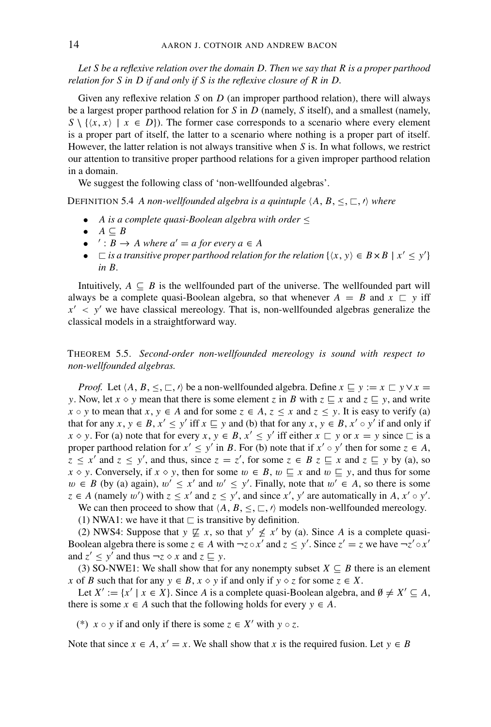*Let S be a reflexive relation over the domain D. Then we say that R is a proper parthood relation for S in D if and only if S is the reflexive closure of R in D.*

Given any reflexive relation *S* on *D* (an improper parthood relation), there will always be a largest proper parthood relation for *S* in *D* (namely, *S* itself), and a smallest (namely,  $S \setminus \{ \langle x, x \rangle \mid x \in D \}$ . The former case corresponds to a scenario where every element is a proper part of itself, the latter to a scenario where nothing is a proper part of itself. However, the latter relation is not always transitive when *S* is. In what follows, we restrict our attention to transitive proper parthood relations for a given improper parthood relation in a domain.

We suggest the following class of 'non-wellfounded algebras'.

DEFINITION 5.4 *A non-wellfounded algebra is a quintuple*  $\langle A, B, \leq, \sqsubset, \prime \rangle$  where

- *A is a complete quasi-Boolean algebra with order* ≤
- $A \subseteq B$
- $\prime : B \rightarrow A$  where  $a' = a$  for every  $a \in A$
- $\Box$  *is a transitive proper parthood relation for the relation*  $\{(x, y) \in B \times B \mid x' \leq y'\}$ *in B.*

Intuitively,  $A \subseteq B$  is the wellfounded part of the universe. The wellfounded part will always be a complete quasi-Boolean algebra, so that whenever  $A = B$  and  $x \subseteq y$  iff  $x' < y'$  we have classical mereology. That is, non-wellfounded algebras generalize the classical models in a straightforward way.

THEOREM 5.5. *Second-order non-wellfounded mereology is sound with respect to non-wellfounded algebras.*

*Proof.* Let  $\langle A, B, \leq, \sqsubset, \prime \rangle$  be a non-wellfounded algebra. Define  $x \sqsubseteq y := x \sqsubset y \vee x =$ *y*. Now, let  $x \diamond y$  mean that there is some element *z* in *B* with  $z \sqsubseteq x$  and  $z \sqsubseteq y$ , and write  $x \circ y$  to mean that  $x, y \in A$  and for some  $z \in A$ ,  $z \le x$  and  $z \le y$ . It is easy to verify (a) that for any  $x, y \in B$ ,  $x' \le y'$  iff  $x \subseteq y$  and (b) that for any  $x, y \in B$ ,  $x' \circ y'$  if and only if *x*  $\circ$  *y*. For (a) note that for every *x*,  $y \in B$ ,  $x' \le y'$  iff either  $x \sqsubset y$  or  $x = y$  since  $\sqsubset$  is a proper parthood relation for  $x' \le y'$  in *B*. For (b) note that if  $x' \circ y'$  then for some  $z \in A$ ,  $z \leq x'$  and  $z \leq y'$ , and thus, since  $z = z'$ , for some  $z \in B$   $z \sqsubseteq x$  and  $z \sqsubseteq y$  by (a), so *x*  $\circ$  *y*. Conversely, if *x*  $\circ$  *y*, then for some  $w \in B$ ,  $w \subseteq x$  and  $w \subseteq y$ , and thus for some  $w ∈ B$  (by (a) again),  $w' ≤ x'$  and  $w' ≤ y'$ . Finally, note that  $w' ∈ A$ , so there is some  $z \in A$  (namely w') with  $z \le x'$  and  $z \le y'$ , and since x', y' are automatically in *A*,  $x' \circ y'$ .

We can then proceed to show that  $\langle A, B, \leq, \sqsubset, \prime \rangle$  models non-wellfounded mereology.

(1) NWA1: we have it that  $\sqsubset$  is transitive by definition.

(2) NWS4: Suppose that  $y \not\subseteq x$ , so that  $y' \not\leq x'$  by (a). Since *A* is a complete quasi-Boolean algebra there is some  $z \in A$  with  $\neg z \circ x'$  and  $z \le y'$ . Since  $z' = z$  we have  $\neg z' \circ x'$ and  $z' \leq y'$  and thus  $\neg z \diamond x$  and  $z \sqsubseteq y$ .

(3) SO-NWE1: We shall show that for any nonempty subset  $X \subseteq B$  there is an element *x* of *B* such that for any  $y \in B$ ,  $x \diamond y$  if and only if  $y \diamond z$  for some  $z \in X$ .

Let  $X' := \{x' \mid x \in X\}$ . Since *A* is a complete quasi-Boolean algebra, and  $\emptyset \neq X' \subseteq A$ , there is some  $x \in A$  such that the following holds for every  $y \in A$ .

(\*)  $x \circ y$  if and only if there is some  $z \in X'$  with  $y \circ z$ .

Note that since  $x \in A$ ,  $x' = x$ . We shall show that x is the required fusion. Let  $y \in B$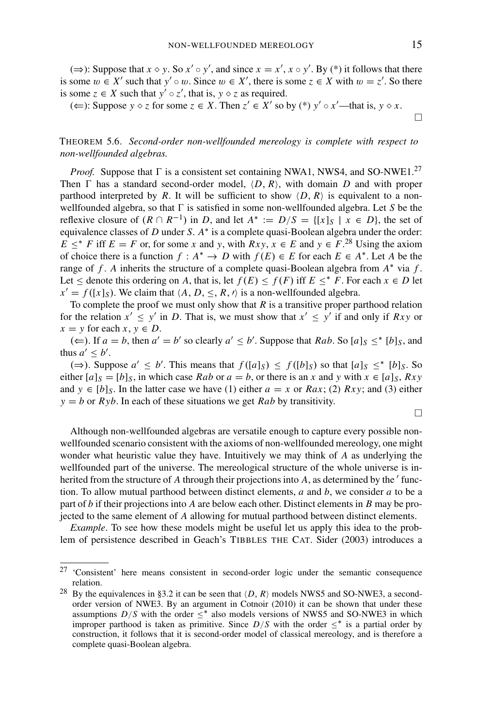$\Box$ 

(⇒): Suppose that *x*  $\circ$  *y*. So *x'*  $\circ$  *y'*, and since *x* = *x'*, *x*  $\circ$  *y'*. By (\*) it follows that there is some  $w \in X'$  such that  $y' \circ w$ . Since  $w \in X'$ , there is some  $z \in X$  with  $w = z'$ . So there is some  $z \in X$  such that  $y' \circ z'$ , that is,  $y \circ z$  as required.

(←): Suppose *y*  $\diamond$  *z* for some  $z \in X$ . Then  $z' \in X'$  so by (\*)  $y' \circ x'$ —that is,  $y \diamond x$ .

## THEOREM 5.6. *Second-order non-wellfounded mereology is complete with respect to non-wellfounded algebras.*

*Proof.* Suppose that  $\Gamma$  is a consistent set containing NWA1, NWS4, and SO-NWE1.<sup>27</sup> Then  $\Gamma$  has a standard second-order model,  $\langle D, R \rangle$ , with domain *D* and with proper parthood interpreted by *R*. It will be sufficient to show  $\langle D, R \rangle$  is equivalent to a nonwellfounded algebra, so that  $\Gamma$  is satisfied in some non-wellfounded algebra. Let *S* be the reflexive closure of  $(R \cap R^{-1})$  in *D*, and let  $A^* := D/S = \{ [x]_S \mid x \in D \}$ , the set of equivalence classes of *D* under *S*. *A*∗ is a complete quasi-Boolean algebra under the order:  $E \leq^* F$  iff  $E = F$  or, for some *x* and *y*, with  $Rxy$ ,  $x \in E$  and  $y \in F$ .<sup>28</sup> Using the axiom of choice there is a function *f* :  $A^*$  → *D* with  $f(E) \in E$  for each  $E \in A^*$ . Let *A* be the range of  $f$ . *A* inherits the structure of a complete quasi-Boolean algebra from  $A^*$  via  $f$ . Let ≤ denote this ordering on *A*, that is, let  $f(E)$  ≤  $f(F)$  iff  $E$  ≤<sup>\*</sup>  $F$ . For each  $x \in D$  let  $x' = f([x]_S)$ . We claim that  $\langle A, D, \leq, R, \prime \rangle$  is a non-wellfounded algebra.

To complete the proof we must only show that *R* is a transitive proper parthood relation for the relation  $x' \le y'$  in *D*. That is, we must show that  $x' \le y'$  if and only if *Rxy* or  $x = y$  for each  $x, y \in D$ .

(⇐). If *a* = *b*, then *a*<sup> $′$ </sup> = *b*<sup> $′$ </sup> so clearly *a*<sup> $′$ </sup> ≤ *b*<sup> $′$ </sup>. Suppose that *Rab*. So [*a*]<sub>*S*</sub> ≤<sup>\*</sup> [*b*]<sub>*S*</sub>, and thus  $a' \leq b'$ .

(⇒). Suppose  $a' \le b'$ . This means that  $f([a]_S) \le f([b]_S)$  so that  $[a]_S \le^* [b]_S$ . So either  $[a]_S = [b]_S$ , in which case *Rab* or  $a = b$ , or there is an *x* and *y* with  $x \in [a]_S$ , *Rxy* and  $y \in [b]_S$ . In the latter case we have (1) either  $a = x$  or  $Rax$ ; (2)  $Rxy$ ; and (3) either  $y = b$  or  $Ryb$ . In each of these situations we get *Rab* by transitivity.

 $\Box$ 

Although non-wellfounded algebras are versatile enough to capture every possible nonwellfounded scenario consistent with the axioms of non-wellfounded mereology, one might wonder what heuristic value they have. Intuitively we may think of *A* as underlying the wellfounded part of the universe. The mereological structure of the whole universe is inherited from the structure of *A* through their projections into *A*, as determined by the ' function. To allow mutual parthood between distinct elements, *a* and *b*, we consider *a* to be a part of *b* if their projections into *A* are below each other. Distinct elements in *B* may be projected to the same element of *A* allowing for mutual parthood between distinct elements.

*Example*. To see how these models might be useful let us apply this idea to the problem of persistence described in Geach's TIBBLES THE CAT. Sider (2003) introduces a

<sup>27</sup> 'Consistent' here means consistent in second-order logic under the semantic consequence relation.

<sup>&</sup>lt;sup>28</sup> By the equivalences in §3.2 it can be seen that  $\langle D, R \rangle$  models NWS5 and SO-NWE3, a secondorder version of NWE3. By an argument in Cotnoir (2010) it can be shown that under these assumptions  $D/S$  with the order  $\leq^*$  also models versions of NWS5 and SO-NWE3 in which improper parthood is taken as primitive. Since  $D/S$  with the order  $\leq^*$  is a partial order by construction, it follows that it is second-order model of classical mereology, and is therefore a complete quasi-Boolean algebra.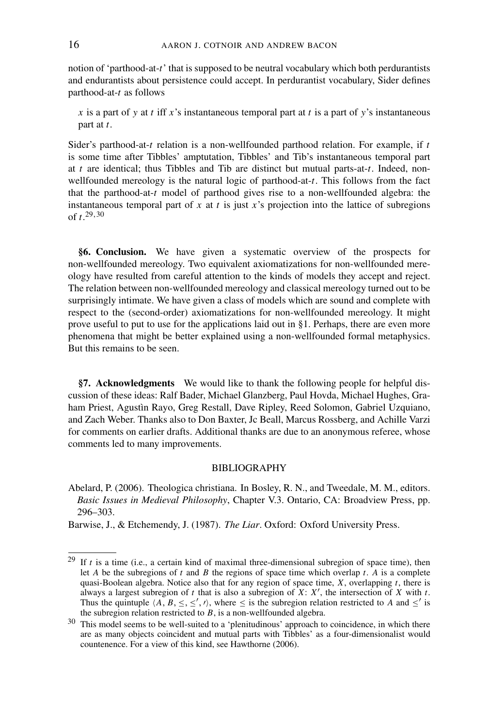notion of 'parthood-at-*t*' that is supposed to be neutral vocabulary which both perdurantists and endurantists about persistence could accept. In perdurantist vocabulary, Sider defines parthood-at-*t* as follows

*x* is a part of *y* at *t* iff *x*'s instantaneous temporal part at *t* is a part of *y*'s instantaneous part at *t*.

Sider's parthood-at-*t* relation is a non-wellfounded parthood relation. For example, if *t* is some time after Tibbles' amptutation, Tibbles' and Tib's instantaneous temporal part at *t* are identical; thus Tibbles and Tib are distinct but mutual parts-at-*t*. Indeed, nonwellfounded mereology is the natural logic of parthood-at-*t*. This follows from the fact that the parthood-at-*t* model of parthood gives rise to a non-wellfounded algebra: the instantaneous temporal part of *x* at *t* is just *x*'s projection into the lattice of subregions of *t*. 29,30

**§6. Conclusion.** We have given a systematic overview of the prospects for non-wellfounded mereology. Two equivalent axiomatizations for non-wellfounded mereology have resulted from careful attention to the kinds of models they accept and reject. The relation between non-wellfounded mereology and classical mereology turned out to be surprisingly intimate. We have given a class of models which are sound and complete with respect to the (second-order) axiomatizations for non-wellfounded mereology. It might prove useful to put to use for the applications laid out in §1. Perhaps, there are even more phenomena that might be better explained using a non-wellfounded formal metaphysics. But this remains to be seen.

**§7. Acknowledgments** We would like to thank the following people for helpful discussion of these ideas: Ralf Bader, Michael Glanzberg, Paul Hovda, Michael Hughes, Graham Priest, Agustìn Rayo, Greg Restall, Dave Ripley, Reed Solomon, Gabriel Uzquiano, and Zach Weber. Thanks also to Don Baxter, Jc Beall, Marcus Rossberg, and Achille Varzi for comments on earlier drafts. Additional thanks are due to an anonymous referee, whose comments led to many improvements.

### BIBLIOGRAPHY

Abelard, P. (2006). Theologica christiana. In Bosley, R. N., and Tweedale, M. M., editors. *Basic Issues in Medieval Philosophy*, Chapter V.3. Ontario, CA: Broadview Press, pp. 296–303.

Barwise, J., & Etchemendy, J. (1987). *The Liar*. Oxford: Oxford University Press.

<sup>29</sup> If *t* is a time (i.e., a certain kind of maximal three-dimensional subregion of space time), then let *A* be the subregions of *t* and *B* the regions of space time which overlap *t*. *A* is a complete quasi-Boolean algebra. Notice also that for any region of space time, *X*, overlapping *t*, there is always a largest subregion of  $t$  that is also a subregion of  $X: X'$ , the intersection of  $X$  with  $t$ . Thus the quintuple  $\langle A, B, \leq, \leq', \prime \rangle$ , where  $\leq$  is the subregion relation restricted to *A* and  $\leq'$  is the subregion relation restricted to *B*, is a non-wellfounded algebra.

<sup>&</sup>lt;sup>30</sup> This model seems to be well-suited to a 'plenitudinous' approach to coincidence, in which there are as many objects coincident and mutual parts with Tibbles' as a four-dimensionalist would countenence. For a view of this kind, see Hawthorne (2006).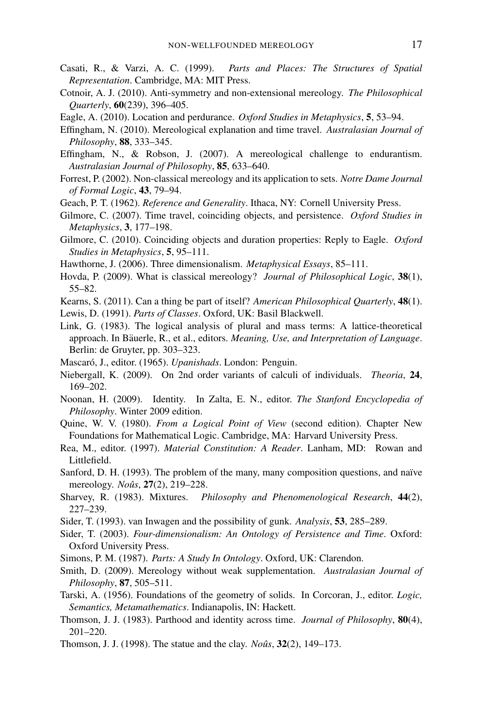- Casati, R., & Varzi, A. C. (1999). *Parts and Places: The Structures of Spatial Representation*. Cambridge, MA: MIT Press.
- Cotnoir, A. J. (2010). Anti-symmetry and non-extensional mereology. *The Philosophical Quarterly*, **60**(239), 396–405.
- Eagle, A. (2010). Location and perdurance. *Oxford Studies in Metaphysics*, **5**, 53–94.
- Effingham, N. (2010). Mereological explanation and time travel. *Australasian Journal of Philosophy*, **88**, 333–345.
- Effingham, N., & Robson, J. (2007). A mereological challenge to endurantism. *Australasian Journal of Philosophy*, **85**, 633–640.
- Forrest, P. (2002). Non-classical mereology and its application to sets. *Notre Dame Journal of Formal Logic*, **43**, 79–94.
- Geach, P. T. (1962). *Reference and Generality*. Ithaca, NY: Cornell University Press.
- Gilmore, C. (2007). Time travel, coinciding objects, and persistence. *Oxford Studies in Metaphysics*, **3**, 177–198.
- Gilmore, C. (2010). Coinciding objects and duration properties: Reply to Eagle. *Oxford Studies in Metaphysics*, **5**, 95–111.
- Hawthorne, J. (2006). Three dimensionalism. *Metaphysical Essays*, 85–111.
- Hovda, P. (2009). What is classical mereology? *Journal of Philosophical Logic*, **38**(1), 55–82.
- Kearns, S. (2011). Can a thing be part of itself? *American Philosophical Quarterly*, **48**(1).
- Lewis, D. (1991). *Parts of Classes*. Oxford, UK: Basil Blackwell.
- Link, G. (1983). The logical analysis of plural and mass terms: A lattice-theoretical approach. In Bäuerle, R., et al., editors. *Meaning, Use, and Interpretation of Language*. Berlin: de Gruyter, pp. 303–323.
- Mascaró, J., editor. (1965). *Upanishads*. London: Penguin.
- Niebergall, K. (2009). On 2nd order variants of calculi of individuals. *Theoria*, **24**, 169–202.
- Noonan, H. (2009). Identity. In Zalta, E. N., editor. *The Stanford Encyclopedia of Philosophy*. Winter 2009 edition.
- Quine, W. V. (1980). *From a Logical Point of View* (second edition). Chapter New Foundations for Mathematical Logic. Cambridge, MA: Harvard University Press.
- Rea, M., editor. (1997). *Material Constitution: A Reader*. Lanham, MD: Rowan and Littlefield.
- Sanford, D. H. (1993). The problem of the many, many composition questions, and naïve mereology. *Noûs*, **27**(2), 219–228.
- Sharvey, R. (1983). Mixtures. *Philosophy and Phenomenological Research*, **44**(2), 227–239.
- Sider, T. (1993). van Inwagen and the possibility of gunk. *Analysis*, **53**, 285–289.
- Sider, T. (2003). *Four-dimensionalism: An Ontology of Persistence and Time*. Oxford: Oxford University Press.
- Simons, P. M. (1987). *Parts: A Study In Ontology*. Oxford, UK: Clarendon.
- Smith, D. (2009). Mereology without weak supplementation. *Australasian Journal of Philosophy*, **87**, 505–511.
- Tarski, A. (1956). Foundations of the geometry of solids. In Corcoran, J., editor. *Logic, Semantics, Metamathematics*. Indianapolis, IN: Hackett.
- Thomson, J. J. (1983). Parthood and identity across time. *Journal of Philosophy*, **80**(4), 201–220.
- Thomson, J. J. (1998). The statue and the clay. *Noûs*, **32**(2), 149–173.